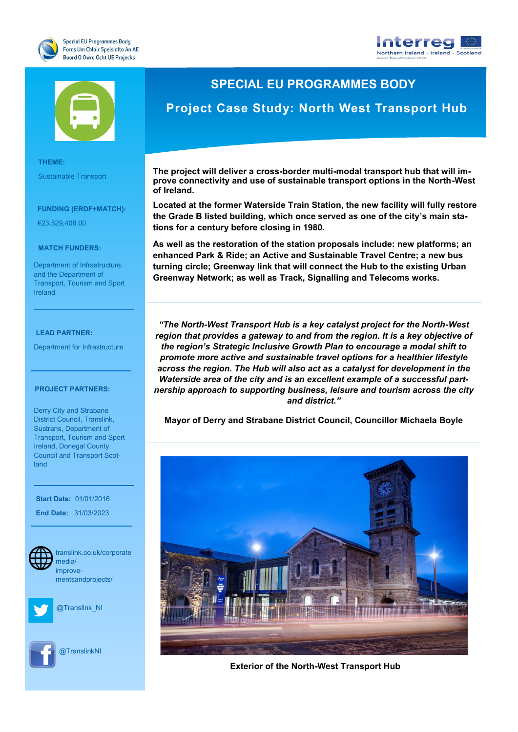





**THEME:** Sustainable Transport

#### **FUNDING (ERDF+MATCH):**

€23,529,408.00

#### **MATCH FUNDERS:**

Department of Infrastructure, meador - Life Sciences III.<br>Transport, Tourism and Sport Renewable Energy and the Department of Ireland

#### **LEAD PARTNER:**

Department for Infrastructure

### **LEAD PARTNER: PROJECT PARTNERS:**

Derry City and Strabane District Council, Translink, Transport, Tourism and Sport Council and Transport Scot-Sustrans, Department of Ireland, Donegal County land

**Start Date: 01/01/2016** 

**End Date:**  31/03/2023



**Social Media:** mentsandprojects/ translink.co.uk/corporate media/ improve-



@Translink\_NI



@TranslinkNI

## **SPECIAL EU PROGRAMMES BODY**

# **Project Case Study: North West Transport Hub**

**The project will deliver a cross-border multi-modal transport hub that will improve connectivity and use of sustainable transport options in the North-West of Ireland.**

**Located at the former Waterside Train Station, the new facility will fully restore the Grade B listed building, which once served as one of the city's main stations for a century before closing in 1980.** 

**As well as the restoration of the station proposals include: new platforms; an enhanced Park & Ride; an Active and Sustainable Travel Centre; a new bus turning circle; Greenway link that will connect the Hub to the existing Urban Greenway Network; as well as Track, Signalling and Telecoms works.**

*"The North-West Transport Hub is a key catalyst project for the North-West*  region that provides a gateway to and from the region. It is a key objective of *the region's Strategic Inclusive Growth Plan to encourage a modal shift to promote more active and sustainable travel options for a healthier lifestyle across the region. The Hub will also act as a catalyst for development in the Waterside area of the city and is an excellent example of a successful partnership approach to supporting business, leisure and tourism across the city and district."*

**Mayor of Derry and Strabane District Council, Councillor Michaela Boyle**



**Exterior of the North-West Transport Hub**